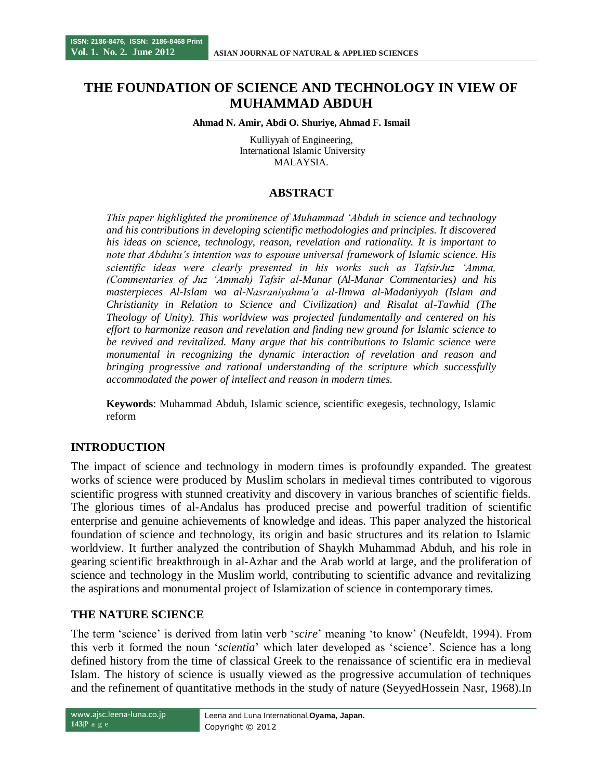# **THE FOUNDATION OF SCIENCE AND TECHNOLOGY IN VIEW OF MUHAMMAD ABDUH**

#### **Ahmad N. Amir, Abdi O. Shuriye, Ahmad F. Ismail**

Kulliyyah of Engineering, International Islamic University MALAYSIA.

# **ABSTRACT**

*This paper highlighted the prominence of Muhammad 'Abduh in science and technology and his contributions in developing scientific methodologies and principles. It discovered his ideas on science, technology, reason, revelation and rationality. It is important to note that Abduhu's intention was to espouse universal framework of Islamic science. His scientific ideas were clearly presented in his works such as TafsirJuz 'Amma, (Commentaries of Juz 'Ammah) Tafsir al-Manar (Al-Manar Commentaries) and his masterpieces Al-Islam wa al-Nasraniyahma'a al-Ilmwa al-Madaniyyah (Islam and Christianity in Relation to Science and Civilization) and Risalat al-Tawhid (The Theology of Unity). This worldview was projected fundamentally and centered on his effort to harmonize reason and revelation and finding new ground for Islamic science to be revived and revitalized. Many argue that his contributions to Islamic science were monumental in recognizing the dynamic interaction of revelation and reason and bringing progressive and rational understanding of the scripture which successfully accommodated the power of intellect and reason in modern times.*

**Keywords**: Muhammad Abduh, Islamic science, scientific exegesis, technology, Islamic reform

## **INTRODUCTION**

The impact of science and technology in modern times is profoundly expanded. The greatest works of science were produced by Muslim scholars in medieval times contributed to vigorous scientific progress with stunned creativity and discovery in various branches of scientific fields. The glorious times of al-Andalus has produced precise and powerful tradition of scientific enterprise and genuine achievements of knowledge and ideas. This paper analyzed the historical foundation of science and technology, its origin and basic structures and its relation to Islamic worldview. It further analyzed the contribution of Shaykh Muhammad Abduh, and his role in gearing scientific breakthrough in al-Azhar and the Arab world at large, and the proliferation of science and technology in the Muslim world, contributing to scientific advance and revitalizing the aspirations and monumental project of Islamization of science in contemporary times.

## **THE NATURE SCIENCE**

The term "science" is derived from latin verb "*scire*" meaning "to know" (Neufeldt, 1994). From this verb it formed the noun "*scientia*" which later developed as "science". Science has a long defined history from the time of classical Greek to the renaissance of scientific era in medieval Islam. The history of science is usually viewed as the progressive accumulation of techniques and the refinement of quantitative methods in the study of nature (SeyyedHossein Nasr, 1968).In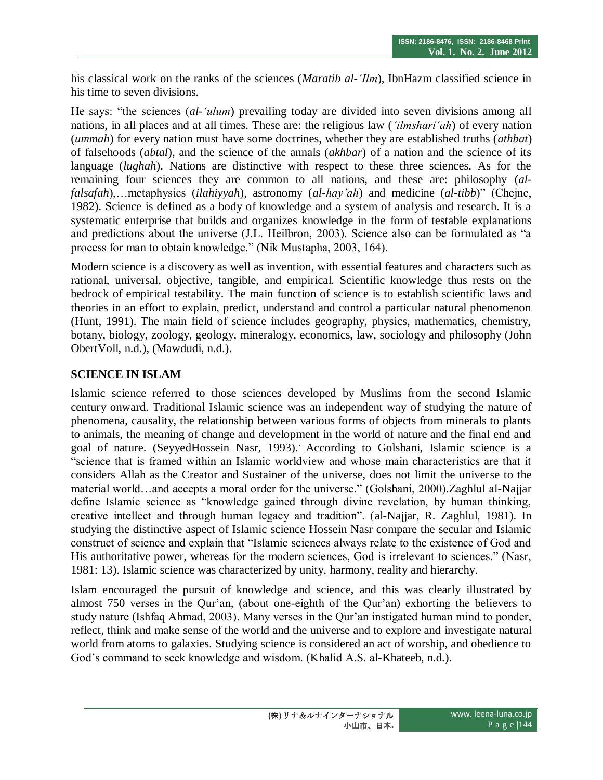his classical work on the ranks of the sciences (*Maratib al-'Ilm*), IbnHazm classified science in his time to seven divisions.

He says: "the sciences (*al-'ulum*) prevailing today are divided into seven divisions among all nations, in all places and at all times. These are: the religious law (*'ilmshari'ah*) of every nation (*ummah*) for every nation must have some doctrines, whether they are established truths (*athbat*) of falsehoods (*abtal*), and the science of the annals (*akhbar*) of a nation and the science of its language (*lughah*). Nations are distinctive with respect to these three sciences. As for the remaining four sciences they are common to all nations, and these are: philosophy (*alfalsafah*),…metaphysics (*ilahiyyah*), astronomy (*al-hay'ah*) and medicine (*al-tibb*)" (Chejne, 1982). Science is defined as a body of knowledge and a system of analysis and research. It is a systematic enterprise that builds and organizes knowledge in the form of testable explanations and predictions about the universe (J.L. Heilbron, 2003). Science also can be formulated as "a process for man to obtain knowledge." (Nik Mustapha, 2003, 164).

Modern science is a discovery as well as invention, with essential features and characters such as rational, universal, objective, tangible, and empirical. Scientific knowledge thus rests on the bedrock of empirical testability. The main function of science is to establish scientific laws and theories in an effort to explain, predict, understand and control a particular natural phenomenon (Hunt, 1991). The main field of science includes geography, physics, mathematics, chemistry, botany, biology, zoology, geology, mineralogy, economics, law, sociology and philosophy (John ObertVoll, n.d.), (Mawdudi, n.d.).

# **SCIENCE IN ISLAM**

Islamic science referred to those sciences developed by Muslims from the second Islamic century onward. Traditional Islamic science was an independent way of studying the nature of phenomena, causality, the relationship between various forms of objects from minerals to plants to animals, the meaning of change and development in the world of nature and the final end and goal of nature. (SeyyedHossein Nasr, 1993).. According to Golshani, Islamic science is a "science that is framed within an Islamic worldview and whose main characteristics are that it considers Allah as the Creator and Sustainer of the universe, does not limit the universe to the material world…and accepts a moral order for the universe." (Golshani, 2000).Zaghlul al-Najjar define Islamic science as "knowledge gained through divine revelation, by human thinking, creative intellect and through human legacy and tradition". (al-Najjar, R. Zaghlul, 1981). In studying the distinctive aspect of Islamic science Hossein Nasr compare the secular and Islamic construct of science and explain that "Islamic sciences always relate to the existence of God and His authoritative power, whereas for the modern sciences, God is irrelevant to sciences." (Nasr, 1981: 13). Islamic science was characterized by unity, harmony, reality and hierarchy.

Islam encouraged the pursuit of knowledge and science, and this was clearly illustrated by almost 750 verses in the Qur'an, (about one-eighth of the Qur'an) exhorting the believers to study nature (Ishfaq Ahmad, 2003). Many verses in the Qur"an instigated human mind to ponder, reflect, think and make sense of the world and the universe and to explore and investigate natural world from atoms to galaxies. Studying science is considered an act of worship, and obedience to God's command to seek knowledge and wisdom. (Khalid A.S. al-Khateeb, n.d.).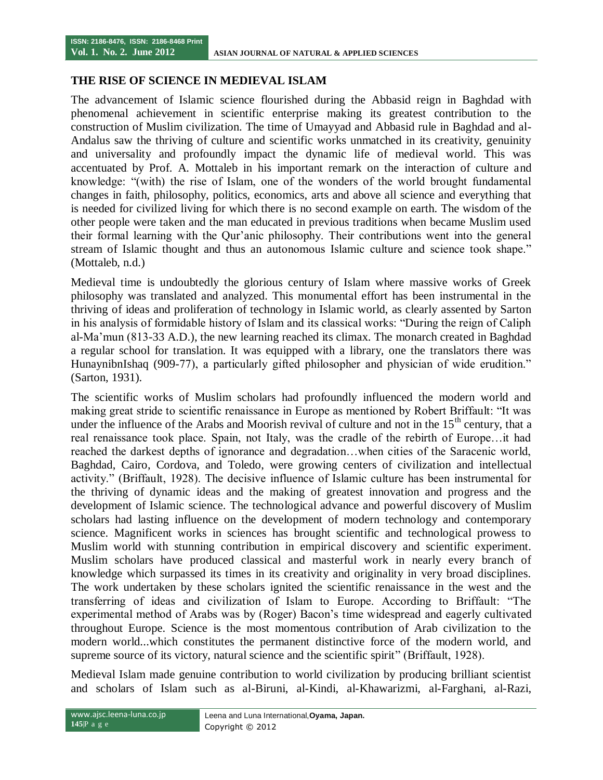#### **THE RISE OF SCIENCE IN MEDIEVAL ISLAM**

The advancement of Islamic science flourished during the Abbasid reign in Baghdad with phenomenal achievement in scientific enterprise making its greatest contribution to the construction of Muslim civilization. The time of Umayyad and Abbasid rule in Baghdad and al-Andalus saw the thriving of culture and scientific works unmatched in its creativity, genuinity and universality and profoundly impact the dynamic life of medieval world. This was accentuated by Prof. A. Mottaleb in his important remark on the interaction of culture and knowledge: "(with) the rise of Islam, one of the wonders of the world brought fundamental changes in faith, philosophy, politics, economics, arts and above all science and everything that is needed for civilized living for which there is no second example on earth. The wisdom of the other people were taken and the man educated in previous traditions when became Muslim used their formal learning with the Qur"anic philosophy. Their contributions went into the general stream of Islamic thought and thus an autonomous Islamic culture and science took shape." (Mottaleb, n.d.)

Medieval time is undoubtedly the glorious century of Islam where massive works of Greek philosophy was translated and analyzed. This monumental effort has been instrumental in the thriving of ideas and proliferation of technology in Islamic world, as clearly assented by Sarton in his analysis of formidable history of Islam and its classical works: "During the reign of Caliph al-Ma"mun (813-33 A.D.), the new learning reached its climax. The monarch created in Baghdad a regular school for translation. It was equipped with a library, one the translators there was HunaynibnIshaq (909-77), a particularly gifted philosopher and physician of wide erudition." (Sarton, 1931).

The scientific works of Muslim scholars had profoundly influenced the modern world and making great stride to scientific renaissance in Europe as mentioned by Robert Briffault: "It was under the influence of the Arabs and Moorish revival of culture and not in the 15<sup>th</sup> century, that a real renaissance took place. Spain, not Italy, was the cradle of the rebirth of Europe…it had reached the darkest depths of ignorance and degradation…when cities of the Saracenic world, Baghdad, Cairo, Cordova, and Toledo, were growing centers of civilization and intellectual activity." (Briffault, 1928). The decisive influence of Islamic culture has been instrumental for the thriving of dynamic ideas and the making of greatest innovation and progress and the development of Islamic science. The technological advance and powerful discovery of Muslim scholars had lasting influence on the development of modern technology and contemporary science. Magnificent works in sciences has brought scientific and technological prowess to Muslim world with stunning contribution in empirical discovery and scientific experiment. Muslim scholars have produced classical and masterful work in nearly every branch of knowledge which surpassed its times in its creativity and originality in very broad disciplines. The work undertaken by these scholars ignited the scientific renaissance in the west and the transferring of ideas and civilization of Islam to Europe. According to Briffault: "The experimental method of Arabs was by (Roger) Bacon's time widespread and eagerly cultivated throughout Europe. Science is the most momentous contribution of Arab civilization to the modern world...which constitutes the permanent distinctive force of the modern world, and supreme source of its victory, natural science and the scientific spirit" (Briffault, 1928).

Medieval Islam made genuine contribution to world civilization by producing brilliant scientist and scholars of Islam such as al-Biruni, al-Kindi, al-Khawarizmi, al-Farghani, al-Razi,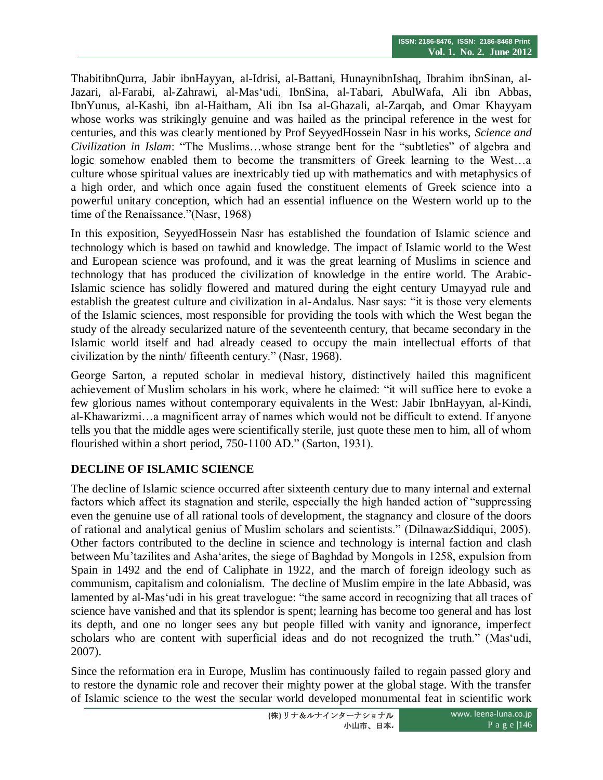ThabitibnQurra, Jabir ibnHayyan, al-Idrisi, al-Battani, HunaynibnIshaq, Ibrahim ibnSinan, al-Jazari, al-Farabi, al-Zahrawi, al-Mas"udi, IbnSina, al-Tabari, AbulWafa, Ali ibn Abbas, IbnYunus, al-Kashi, ibn al-Haitham, Ali ibn Isa al-Ghazali, al-Zarqab, and Omar Khayyam whose works was strikingly genuine and was hailed as the principal reference in the west for centuries, and this was clearly mentioned by Prof SeyyedHossein Nasr in his works, *Science and Civilization in Islam*: "The Muslims…whose strange bent for the "subtleties" of algebra and logic somehow enabled them to become the transmitters of Greek learning to the West…a culture whose spiritual values are inextricably tied up with mathematics and with metaphysics of a high order, and which once again fused the constituent elements of Greek science into a powerful unitary conception, which had an essential influence on the Western world up to the time of the Renaissance."(Nasr, 1968)

In this exposition, SeyyedHossein Nasr has established the foundation of Islamic science and technology which is based on tawhid and knowledge. The impact of Islamic world to the West and European science was profound, and it was the great learning of Muslims in science and technology that has produced the civilization of knowledge in the entire world. The Arabic-Islamic science has solidly flowered and matured during the eight century Umayyad rule and establish the greatest culture and civilization in al-Andalus. Nasr says: "it is those very elements of the Islamic sciences, most responsible for providing the tools with which the West began the study of the already secularized nature of the seventeenth century, that became secondary in the Islamic world itself and had already ceased to occupy the main intellectual efforts of that civilization by the ninth/ fifteenth century." (Nasr, 1968).

George Sarton, a reputed scholar in medieval history, distinctively hailed this magnificent achievement of Muslim scholars in his work, where he claimed: "it will suffice here to evoke a few glorious names without contemporary equivalents in the West: Jabir IbnHayyan, al-Kindi, al-Khawarizmi…a magnificent array of names which would not be difficult to extend. If anyone tells you that the middle ages were scientifically sterile, just quote these men to him, all of whom flourished within a short period, 750-1100 AD." (Sarton, 1931).

# **DECLINE OF ISLAMIC SCIENCE**

The decline of Islamic science occurred after sixteenth century due to many internal and external factors which affect its stagnation and sterile, especially the high handed action of "suppressing even the genuine use of all rational tools of development, the stagnancy and closure of the doors of rational and analytical genius of Muslim scholars and scientists." (DilnawazSiddiqui, 2005). Other factors contributed to the decline in science and technology is internal faction and clash between Mu"tazilites and Asha"arites, the siege of Baghdad by Mongols in 1258, expulsion from Spain in 1492 and the end of Caliphate in 1922, and the march of foreign ideology such as communism, capitalism and colonialism. The decline of Muslim empire in the late Abbasid, was lamented by al-Mas'udi in his great travelogue: "the same accord in recognizing that all traces of science have vanished and that its splendor is spent; learning has become too general and has lost its depth, and one no longer sees any but people filled with vanity and ignorance, imperfect scholars who are content with superficial ideas and do not recognized the truth." (Mas'udi, 2007).

Since the reformation era in Europe, Muslim has continuously failed to regain passed glory and to restore the dynamic role and recover their mighty power at the global stage. With the transfer of Islamic science to the west the secular world developed monumental feat in scientific work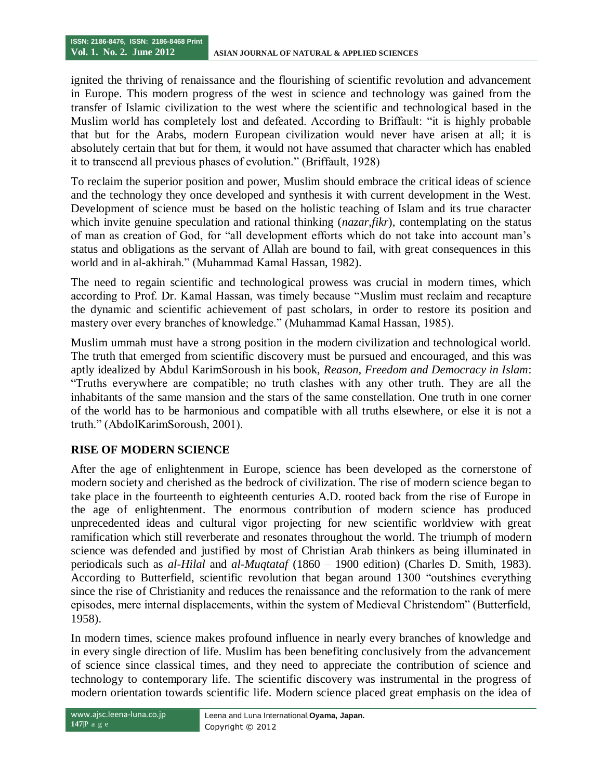ignited the thriving of renaissance and the flourishing of scientific revolution and advancement in Europe. This modern progress of the west in science and technology was gained from the transfer of Islamic civilization to the west where the scientific and technological based in the Muslim world has completely lost and defeated. According to Briffault: "it is highly probable that but for the Arabs, modern European civilization would never have arisen at all; it is absolutely certain that but for them, it would not have assumed that character which has enabled it to transcend all previous phases of evolution." (Briffault, 1928)

To reclaim the superior position and power, Muslim should embrace the critical ideas of science and the technology they once developed and synthesis it with current development in the West. Development of science must be based on the holistic teaching of Islam and its true character which invite genuine speculation and rational thinking (*nazar*,*fikr*), contemplating on the status of man as creation of God, for "all development efforts which do not take into account man"s status and obligations as the servant of Allah are bound to fail, with great consequences in this world and in al-akhirah." (Muhammad Kamal Hassan, 1982).

The need to regain scientific and technological prowess was crucial in modern times, which according to Prof. Dr. Kamal Hassan, was timely because "Muslim must reclaim and recapture the dynamic and scientific achievement of past scholars, in order to restore its position and mastery over every branches of knowledge." (Muhammad Kamal Hassan, 1985).

Muslim ummah must have a strong position in the modern civilization and technological world. The truth that emerged from scientific discovery must be pursued and encouraged, and this was aptly idealized by Abdul KarimSoroush in his book, *Reason, Freedom and Democracy in Islam*: "Truths everywhere are compatible; no truth clashes with any other truth. They are all the inhabitants of the same mansion and the stars of the same constellation. One truth in one corner of the world has to be harmonious and compatible with all truths elsewhere, or else it is not a truth." (AbdolKarimSoroush, 2001).

# **RISE OF MODERN SCIENCE**

After the age of enlightenment in Europe, science has been developed as the cornerstone of modern society and cherished as the bedrock of civilization. The rise of modern science began to take place in the fourteenth to eighteenth centuries A.D. rooted back from the rise of Europe in the age of enlightenment. The enormous contribution of modern science has produced unprecedented ideas and cultural vigor projecting for new scientific worldview with great ramification which still reverberate and resonates throughout the world. The triumph of modern science was defended and justified by most of Christian Arab thinkers as being illuminated in periodicals such as *al-Hilal* and *al-Muqtataf* (1860 – 1900 edition) (Charles D. Smith, 1983). According to Butterfield, scientific revolution that began around 1300 "outshines everything since the rise of Christianity and reduces the renaissance and the reformation to the rank of mere episodes, mere internal displacements, within the system of Medieval Christendom" (Butterfield, 1958).

In modern times, science makes profound influence in nearly every branches of knowledge and in every single direction of life. Muslim has been benefiting conclusively from the advancement of science since classical times, and they need to appreciate the contribution of science and technology to contemporary life. The scientific discovery was instrumental in the progress of modern orientation towards scientific life. Modern science placed great emphasis on the idea of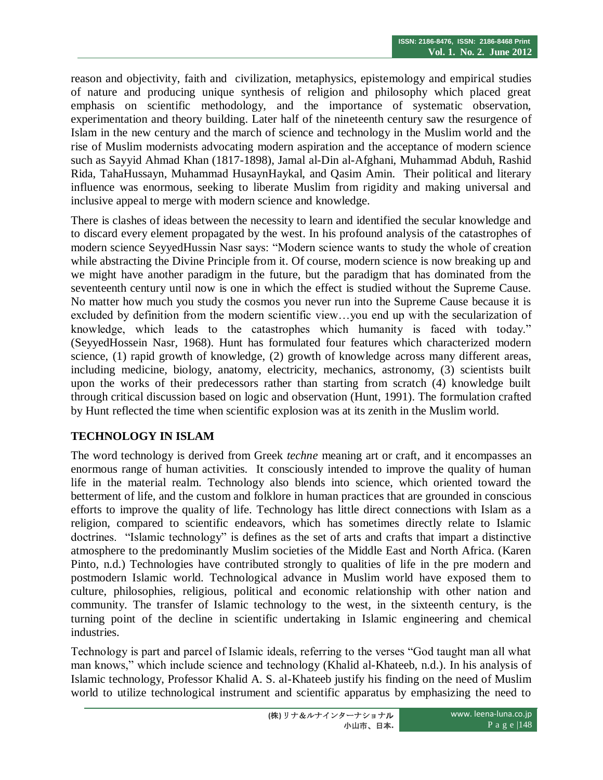reason and objectivity, faith and civilization, metaphysics, epistemology and empirical studies of nature and producing unique synthesis of religion and philosophy which placed great emphasis on scientific methodology, and the importance of systematic observation, experimentation and theory building. Later half of the nineteenth century saw the resurgence of Islam in the new century and the march of science and technology in the Muslim world and the rise of Muslim modernists advocating modern aspiration and the acceptance of modern science such as Sayyid Ahmad Khan (1817-1898), Jamal al-Din al-Afghani, Muhammad Abduh, Rashid Rida, TahaHussayn, Muhammad HusaynHaykal, and Qasim Amin. Their political and literary influence was enormous, seeking to liberate Muslim from rigidity and making universal and inclusive appeal to merge with modern science and knowledge.

There is clashes of ideas between the necessity to learn and identified the secular knowledge and to discard every element propagated by the west. In his profound analysis of the catastrophes of modern science SeyyedHussin Nasr says: "Modern science wants to study the whole of creation while abstracting the Divine Principle from it. Of course, modern science is now breaking up and we might have another paradigm in the future, but the paradigm that has dominated from the seventeenth century until now is one in which the effect is studied without the Supreme Cause. No matter how much you study the cosmos you never run into the Supreme Cause because it is excluded by definition from the modern scientific view…you end up with the secularization of knowledge, which leads to the catastrophes which humanity is faced with today." (SeyyedHossein Nasr, 1968). Hunt has formulated four features which characterized modern science, (1) rapid growth of knowledge, (2) growth of knowledge across many different areas, including medicine, biology, anatomy, electricity, mechanics, astronomy, (3) scientists built upon the works of their predecessors rather than starting from scratch (4) knowledge built through critical discussion based on logic and observation (Hunt, 1991). The formulation crafted by Hunt reflected the time when scientific explosion was at its zenith in the Muslim world.

# **TECHNOLOGY IN ISLAM**

The word technology is derived from Greek *techne* meaning art or craft, and it encompasses an enormous range of human activities. It consciously intended to improve the quality of human life in the material realm. Technology also blends into science, which oriented toward the betterment of life, and the custom and folklore in human practices that are grounded in conscious efforts to improve the quality of life. Technology has little direct connections with Islam as a religion, compared to scientific endeavors, which has sometimes directly relate to Islamic doctrines. "Islamic technology" is defines as the set of arts and crafts that impart a distinctive atmosphere to the predominantly Muslim societies of the Middle East and North Africa. (Karen Pinto, n.d.) Technologies have contributed strongly to qualities of life in the pre modern and postmodern Islamic world. Technological advance in Muslim world have exposed them to culture, philosophies, religious, political and economic relationship with other nation and community. The transfer of Islamic technology to the west, in the sixteenth century, is the turning point of the decline in scientific undertaking in Islamic engineering and chemical industries.

Technology is part and parcel of Islamic ideals, referring to the verses "God taught man all what man knows," which include science and technology (Khalid al-Khateeb, n.d.). In his analysis of Islamic technology, Professor Khalid A. S. al-Khateeb justify his finding on the need of Muslim world to utilize technological instrument and scientific apparatus by emphasizing the need to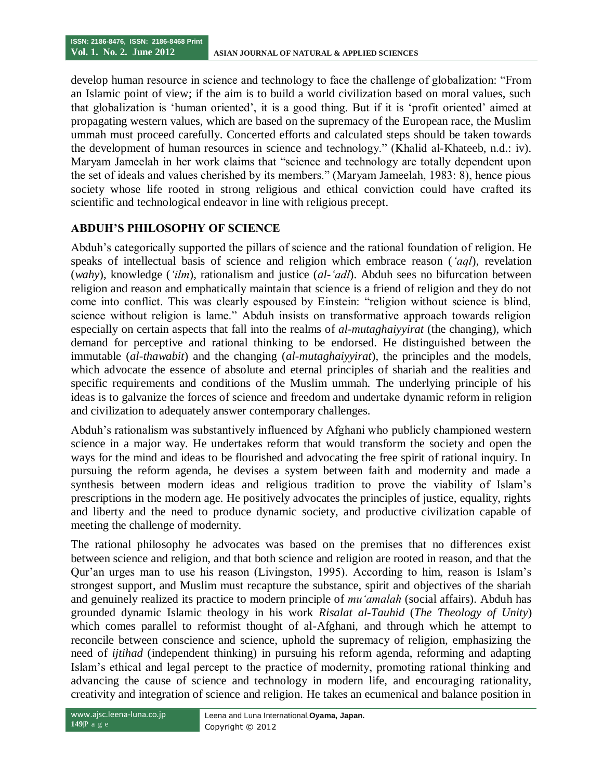develop human resource in science and technology to face the challenge of globalization: "From an Islamic point of view; if the aim is to build a world civilization based on moral values, such that globalization is "human oriented", it is a good thing. But if it is "profit oriented" aimed at propagating western values, which are based on the supremacy of the European race, the Muslim ummah must proceed carefully. Concerted efforts and calculated steps should be taken towards the development of human resources in science and technology." (Khalid al-Khateeb, n.d.: iv). Maryam Jameelah in her work claims that "science and technology are totally dependent upon the set of ideals and values cherished by its members." (Maryam Jameelah, 1983: 8), hence pious society whose life rooted in strong religious and ethical conviction could have crafted its scientific and technological endeavor in line with religious precept.

# **ABDUH'S PHILOSOPHY OF SCIENCE**

Abduh"s categorically supported the pillars of science and the rational foundation of religion. He speaks of intellectual basis of science and religion which embrace reason (*'aql*), revelation (*wahy*), knowledge (*'ilm*), rationalism and justice (*al-'adl*). Abduh sees no bifurcation between religion and reason and emphatically maintain that science is a friend of religion and they do not come into conflict. This was clearly espoused by Einstein: "religion without science is blind, science without religion is lame." Abduh insists on transformative approach towards religion especially on certain aspects that fall into the realms of *al-mutaghaiyyirat* (the changing), which demand for perceptive and rational thinking to be endorsed. He distinguished between the immutable (*al-thawabit*) and the changing (*al-mutaghaiyyirat*), the principles and the models, which advocate the essence of absolute and eternal principles of shariah and the realities and specific requirements and conditions of the Muslim ummah. The underlying principle of his ideas is to galvanize the forces of science and freedom and undertake dynamic reform in religion and civilization to adequately answer contemporary challenges.

Abduh"s rationalism was substantively influenced by Afghani who publicly championed western science in a major way. He undertakes reform that would transform the society and open the ways for the mind and ideas to be flourished and advocating the free spirit of rational inquiry. In pursuing the reform agenda, he devises a system between faith and modernity and made a synthesis between modern ideas and religious tradition to prove the viability of Islam"s prescriptions in the modern age. He positively advocates the principles of justice, equality, rights and liberty and the need to produce dynamic society, and productive civilization capable of meeting the challenge of modernity.

The rational philosophy he advocates was based on the premises that no differences exist between science and religion, and that both science and religion are rooted in reason, and that the Qur"an urges man to use his reason (Livingston, 1995). According to him, reason is Islam"s strongest support, and Muslim must recapture the substance, spirit and objectives of the shariah and genuinely realized its practice to modern principle of *mu'amalah* (social affairs). Abduh has grounded dynamic Islamic theology in his work *Risalat al-Tauhid* (*The Theology of Unity*) which comes parallel to reformist thought of al-Afghani, and through which he attempt to reconcile between conscience and science, uphold the supremacy of religion, emphasizing the need of *ijtihad* (independent thinking) in pursuing his reform agenda, reforming and adapting Islam"s ethical and legal percept to the practice of modernity, promoting rational thinking and advancing the cause of science and technology in modern life, and encouraging rationality, creativity and integration of science and religion. He takes an ecumenical and balance position in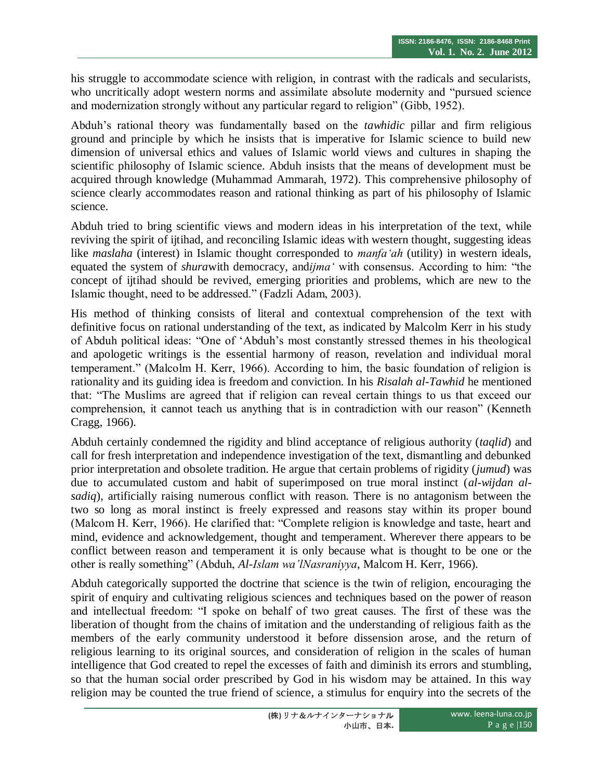his struggle to accommodate science with religion, in contrast with the radicals and secularists, who uncritically adopt western norms and assimilate absolute modernity and "pursued science and modernization strongly without any particular regard to religion" (Gibb, 1952).

Abduh"s rational theory was fundamentally based on the *tawhidic* pillar and firm religious ground and principle by which he insists that is imperative for Islamic science to build new dimension of universal ethics and values of Islamic world views and cultures in shaping the scientific philosophy of Islamic science. Abduh insists that the means of development must be acquired through knowledge (Muhammad Ammarah, 1972). This comprehensive philosophy of science clearly accommodates reason and rational thinking as part of his philosophy of Islamic science.

Abduh tried to bring scientific views and modern ideas in his interpretation of the text, while reviving the spirit of ijtihad, and reconciling Islamic ideas with western thought, suggesting ideas like *maslaha* (interest) in Islamic thought corresponded to *manfa'ah* (utility) in western ideals, equated the system of *shura*with democracy, and*ijma'* with consensus. According to him: "the concept of ijtihad should be revived, emerging priorities and problems, which are new to the Islamic thought, need to be addressed." (Fadzli Adam, 2003).

His method of thinking consists of literal and contextual comprehension of the text with definitive focus on rational understanding of the text, as indicated by Malcolm Kerr in his study of Abduh political ideas: "One of "Abduh"s most constantly stressed themes in his theological and apologetic writings is the essential harmony of reason, revelation and individual moral temperament." (Malcolm H. Kerr, 1966). According to him, the basic foundation of religion is rationality and its guiding idea is freedom and conviction. In his *Risalah al-Tawhid* he mentioned that: "The Muslims are agreed that if religion can reveal certain things to us that exceed our comprehension, it cannot teach us anything that is in contradiction with our reason" (Kenneth Cragg, 1966).

Abduh certainly condemned the rigidity and blind acceptance of religious authority (*taqlid*) and call for fresh interpretation and independence investigation of the text, dismantling and debunked prior interpretation and obsolete tradition. He argue that certain problems of rigidity (*jumud*) was due to accumulated custom and habit of superimposed on true moral instinct (*al-wijdan alsadiq*), artificially raising numerous conflict with reason. There is no antagonism between the two so long as moral instinct is freely expressed and reasons stay within its proper bound (Malcom H. Kerr, 1966). He clarified that: "Complete religion is knowledge and taste, heart and mind, evidence and acknowledgement, thought and temperament. Wherever there appears to be conflict between reason and temperament it is only because what is thought to be one or the other is really something" (Abduh, *Al-Islam wa'lNasraniyya*, Malcom H. Kerr, 1966).

Abduh categorically supported the doctrine that science is the twin of religion, encouraging the spirit of enquiry and cultivating religious sciences and techniques based on the power of reason and intellectual freedom: "I spoke on behalf of two great causes. The first of these was the liberation of thought from the chains of imitation and the understanding of religious faith as the members of the early community understood it before dissension arose, and the return of religious learning to its original sources, and consideration of religion in the scales of human intelligence that God created to repel the excesses of faith and diminish its errors and stumbling, so that the human social order prescribed by God in his wisdom may be attained. In this way religion may be counted the true friend of science, a stimulus for enquiry into the secrets of the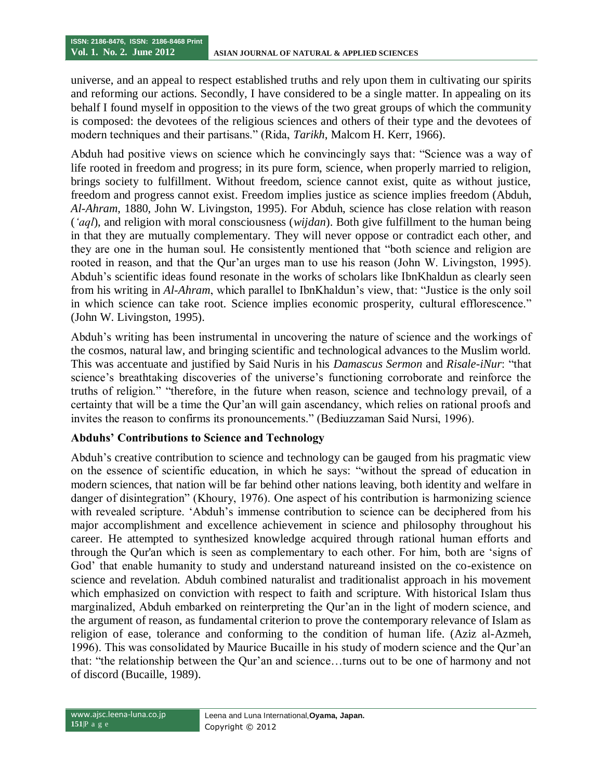universe, and an appeal to respect established truths and rely upon them in cultivating our spirits and reforming our actions. Secondly, I have considered to be a single matter. In appealing on its behalf I found myself in opposition to the views of the two great groups of which the community is composed: the devotees of the religious sciences and others of their type and the devotees of modern techniques and their partisans." (Rida, *Tarikh*, Malcom H. Kerr, 1966).

Abduh had positive views on science which he convincingly says that: "Science was a way of life rooted in freedom and progress; in its pure form, science, when properly married to religion, brings society to fulfillment. Without freedom, science cannot exist, quite as without justice, freedom and progress cannot exist. Freedom implies justice as science implies freedom (Abduh, *Al-Ahram*, 1880, John W. Livingston, 1995). For Abduh, science has close relation with reason (*'aql*), and religion with moral consciousness (*wijdan*). Both give fulfillment to the human being in that they are mutually complementary. They will never oppose or contradict each other, and they are one in the human soul. He consistently mentioned that "both science and religion are rooted in reason, and that the Qur'an urges man to use his reason (John W. Livingston, 1995). Abduh"s scientific ideas found resonate in the works of scholars like IbnKhaldun as clearly seen from his writing in *Al-Ahram*, which parallel to IbnKhaldun"s view, that: "Justice is the only soil in which science can take root. Science implies economic prosperity, cultural efflorescence." (John W. Livingston, 1995).

Abduh"s writing has been instrumental in uncovering the nature of science and the workings of the cosmos, natural law, and bringing scientific and technological advances to the Muslim world. This was accentuate and justified by Said Nuris in his *Damascus Sermon* and *Risale-iNur*: "that science's breathtaking discoveries of the universe's functioning corroborate and reinforce the truths of religion." "therefore, in the future when reason, science and technology prevail, of a certainty that will be a time the Qur"an will gain ascendancy, which relies on rational proofs and invites the reason to confirms its pronouncements." (Bediuzzaman Said Nursi, 1996).

## **Abduhs' Contributions to Science and Technology**

Abduh"s creative contribution to science and technology can be gauged from his pragmatic view on the essence of scientific education, in which he says: "without the spread of education in modern sciences, that nation will be far behind other nations leaving, both identity and welfare in danger of disintegration" (Khoury, 1976). One aspect of his contribution is harmonizing science with revealed scripture. 'Abduh's immense contribution to science can be deciphered from his major accomplishment and excellence achievement in science and philosophy throughout his career. He attempted to synthesized knowledge acquired through rational human efforts and through the Qur'an which is seen as complementary to each other. For him, both are "signs of God" that enable humanity to study and understand natureand insisted on the co-existence on science and revelation. Abduh combined naturalist and traditionalist approach in his movement which emphasized on conviction with respect to faith and scripture. With historical Islam thus marginalized, Abduh embarked on reinterpreting the Qur'an in the light of modern science, and the argument of reason, as fundamental criterion to prove the contemporary relevance of Islam as religion of ease, tolerance and conforming to the condition of human life. (Aziz al-Azmeh, 1996). This was consolidated by Maurice Bucaille in his study of modern science and the Qur"an that: "the relationship between the Qur"an and science…turns out to be one of harmony and not of discord (Bucaille, 1989).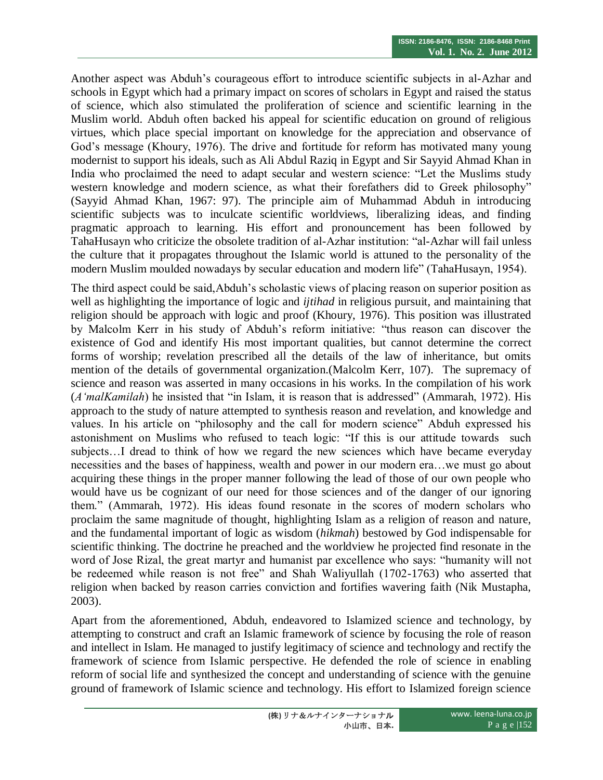Another aspect was Abduh"s courageous effort to introduce scientific subjects in al-Azhar and schools in Egypt which had a primary impact on scores of scholars in Egypt and raised the status of science, which also stimulated the proliferation of science and scientific learning in the Muslim world. Abduh often backed his appeal for scientific education on ground of religious virtues, which place special important on knowledge for the appreciation and observance of God's message (Khoury, 1976). The drive and fortitude for reform has motivated many young modernist to support his ideals, such as Ali Abdul Raziq in Egypt and Sir Sayyid Ahmad Khan in India who proclaimed the need to adapt secular and western science: "Let the Muslims study western knowledge and modern science, as what their forefathers did to Greek philosophy" (Sayyid Ahmad Khan, 1967: 97). The principle aim of Muhammad Abduh in introducing scientific subjects was to inculcate scientific worldviews, liberalizing ideas, and finding pragmatic approach to learning. His effort and pronouncement has been followed by TahaHusayn who criticize the obsolete tradition of al-Azhar institution: "al-Azhar will fail unless the culture that it propagates throughout the Islamic world is attuned to the personality of the modern Muslim moulded nowadays by secular education and modern life" (TahaHusayn, 1954).

The third aspect could be said,Abduh"s scholastic views of placing reason on superior position as well as highlighting the importance of logic and *ijtihad* in religious pursuit, and maintaining that religion should be approach with logic and proof (Khoury, 1976). This position was illustrated by Malcolm Kerr in his study of Abduh"s reform initiative: "thus reason can discover the existence of God and identify His most important qualities, but cannot determine the correct forms of worship; revelation prescribed all the details of the law of inheritance, but omits mention of the details of governmental organization.(Malcolm Kerr, 107). The supremacy of science and reason was asserted in many occasions in his works. In the compilation of his work (*A'malKamilah*) he insisted that "in Islam, it is reason that is addressed" (Ammarah, 1972). His approach to the study of nature attempted to synthesis reason and revelation, and knowledge and values. In his article on "philosophy and the call for modern science" Abduh expressed his astonishment on Muslims who refused to teach logic: "If this is our attitude towards such subjects…I dread to think of how we regard the new sciences which have became everyday necessities and the bases of happiness, wealth and power in our modern era…we must go about acquiring these things in the proper manner following the lead of those of our own people who would have us be cognizant of our need for those sciences and of the danger of our ignoring them." (Ammarah, 1972). His ideas found resonate in the scores of modern scholars who proclaim the same magnitude of thought, highlighting Islam as a religion of reason and nature, and the fundamental important of logic as wisdom (*hikmah*) bestowed by God indispensable for scientific thinking. The doctrine he preached and the worldview he projected find resonate in the word of Jose Rizal, the great martyr and humanist par excellence who says: "humanity will not be redeemed while reason is not free" and Shah Waliyullah (1702-1763) who asserted that religion when backed by reason carries conviction and fortifies wavering faith (Nik Mustapha, 2003).

Apart from the aforementioned, Abduh, endeavored to Islamized science and technology, by attempting to construct and craft an Islamic framework of science by focusing the role of reason and intellect in Islam. He managed to justify legitimacy of science and technology and rectify the framework of science from Islamic perspective. He defended the role of science in enabling reform of social life and synthesized the concept and understanding of science with the genuine ground of framework of Islamic science and technology. His effort to Islamized foreign science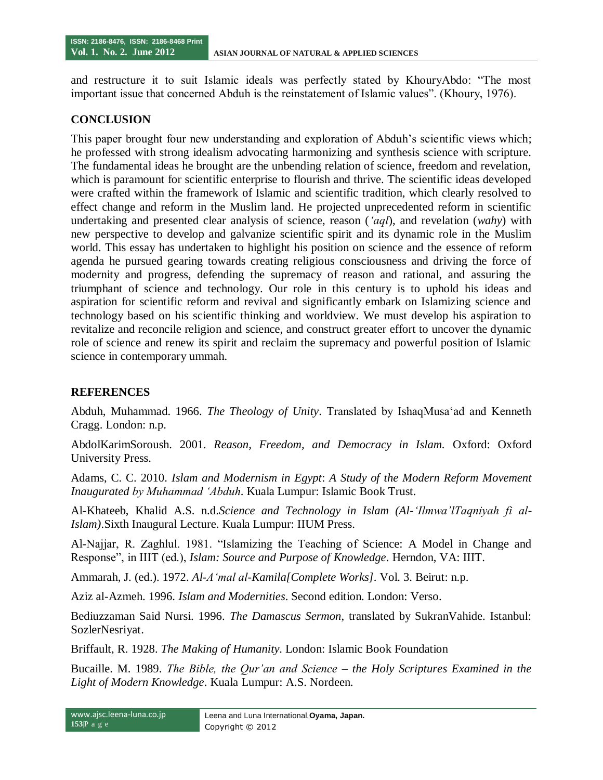and restructure it to suit Islamic ideals was perfectly stated by KhouryAbdo: "The most important issue that concerned Abduh is the reinstatement of Islamic values". (Khoury, 1976).

#### **CONCLUSION**

This paper brought four new understanding and exploration of Abduh"s scientific views which; he professed with strong idealism advocating harmonizing and synthesis science with scripture. The fundamental ideas he brought are the unbending relation of science, freedom and revelation, which is paramount for scientific enterprise to flourish and thrive. The scientific ideas developed were crafted within the framework of Islamic and scientific tradition, which clearly resolved to effect change and reform in the Muslim land. He projected unprecedented reform in scientific undertaking and presented clear analysis of science, reason (*'aql*), and revelation (*wahy*) with new perspective to develop and galvanize scientific spirit and its dynamic role in the Muslim world. This essay has undertaken to highlight his position on science and the essence of reform agenda he pursued gearing towards creating religious consciousness and driving the force of modernity and progress, defending the supremacy of reason and rational, and assuring the triumphant of science and technology. Our role in this century is to uphold his ideas and aspiration for scientific reform and revival and significantly embark on Islamizing science and technology based on his scientific thinking and worldview. We must develop his aspiration to revitalize and reconcile religion and science, and construct greater effort to uncover the dynamic role of science and renew its spirit and reclaim the supremacy and powerful position of Islamic science in contemporary ummah.

#### **REFERENCES**

Abduh, Muhammad. 1966. *The Theology of Unity*. Translated by IshaqMusa"ad and Kenneth Cragg. London: n.p.

AbdolKarimSoroush. 2001. *Reason, Freedom, and Democracy in Islam.* Oxford: Oxford University Press.

Adams, C. C. 2010. *Islam and Modernism in Egypt*: *A Study of the Modern Reform Movement Inaugurated by Muhammad 'Abduh*. Kuala Lumpur: Islamic Book Trust.

Al-Khateeb, Khalid A.S. n.d.*Science and Technology in Islam (Al-'Ilmwa'lTaqniyah fi al-Islam)*.Sixth Inaugural Lecture. Kuala Lumpur: IIUM Press.

Al-Najjar, R. Zaghlul. 1981. "Islamizing the Teaching of Science: A Model in Change and Response", in IIIT (ed.), *Islam: Source and Purpose of Knowledge*. Herndon, VA: IIIT.

Ammarah, J. (ed.). 1972. *Al-A'mal al-Kamila[Complete Works]*. Vol. 3. Beirut: n.p.

Aziz al-Azmeh. 1996. *Islam and Modernities*. Second edition. London: Verso.

Bediuzzaman Said Nursi. 1996. *The Damascus Sermon*, translated by SukranVahide. Istanbul: SozlerNesriyat.

Briffault, R. 1928. *The Making of Humanity*. London: Islamic Book Foundation

Bucaille. M. 1989. *The Bible, the Qur'an and Science – the Holy Scriptures Examined in the Light of Modern Knowledge*. Kuala Lumpur: A.S. Nordeen.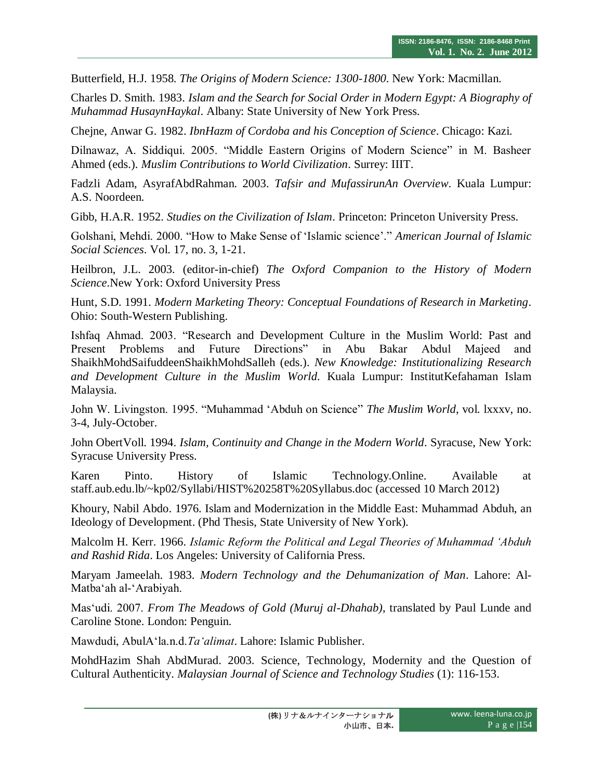Butterfield, H.J. 1958. *The Origins of Modern Science: 1300-1800*. New York: Macmillan.

Charles D. Smith. 1983. *Islam and the Search for Social Order in Modern Egypt: A Biography of Muhammad HusaynHaykal*. Albany: State University of New York Press.

Chejne, Anwar G. 1982. *IbnHazm of Cordoba and his Conception of Science*. Chicago: Kazi.

Dilnawaz, A. Siddiqui. 2005. "Middle Eastern Origins of Modern Science" in M. Basheer Ahmed (eds.). *Muslim Contributions to World Civilization*. Surrey: IIIT.

Fadzli Adam, AsyrafAbdRahman. 2003. *Tafsir and MufassirunAn Overview*. Kuala Lumpur: A.S. Noordeen.

Gibb, H.A.R. 1952. *Studies on the Civilization of Islam*. Princeton: Princeton University Press.

Golshani, Mehdi. 2000. "How to Make Sense of "Islamic science"." *American Journal of Islamic Social Sciences*. Vol. 17, no. 3, 1-21.

Heilbron, J.L. 2003. (editor-in-chief) *The Oxford Companion to the History of Modern Science*.New York: Oxford University Press

Hunt, S.D. 1991. *Modern Marketing Theory: Conceptual Foundations of Research in Marketing*. Ohio: South-Western Publishing.

Ishfaq Ahmad. 2003. "Research and Development Culture in the Muslim World: Past and Present Problems and Future Directions" in Abu Bakar Abdul Majeed and ShaikhMohdSaifuddeenShaikhMohdSalleh (eds.). *New Knowledge: Institutionalizing Research and Development Culture in the Muslim World*. Kuala Lumpur: InstitutKefahaman Islam Malaysia.

John W. Livingston. 1995. "Muhammad "Abduh on Science" *The Muslim World*, vol. lxxxv, no. 3-4, July-October.

John ObertVoll. 1994. *Islam, Continuity and Change in the Modern World*. Syracuse, New York: Syracuse University Press.

Karen Pinto. History of Islamic Technology.Online. Available at staff.aub.edu.lb/~kp02/Syllabi/HIST%20258T%20Syllabus.doc (accessed 10 March 2012)

Khoury, Nabil Abdo. 1976. Islam and Modernization in the Middle East: Muhammad Abduh, an Ideology of Development. (Phd Thesis, State University of New York).

Malcolm H. Kerr. 1966. *Islamic Reform the Political and Legal Theories of Muhammad 'Abduh and Rashid Rida*. Los Angeles: University of California Press.

Maryam Jameelah. 1983. *Modern Technology and the Dehumanization of Man*. Lahore: Al-Matba"ah al-"Arabiyah.

Mas"udi. 2007. *From The Meadows of Gold (Muruj al-Dhahab)*, translated by Paul Lunde and Caroline Stone. London: Penguin.

Mawdudi, AbulA"la.n.d.*Ta'alimat*. Lahore: Islamic Publisher.

MohdHazim Shah AbdMurad. 2003. Science, Technology, Modernity and the Question of Cultural Authenticity. *Malaysian Journal of Science and Technology Studies* (1): 116-153.